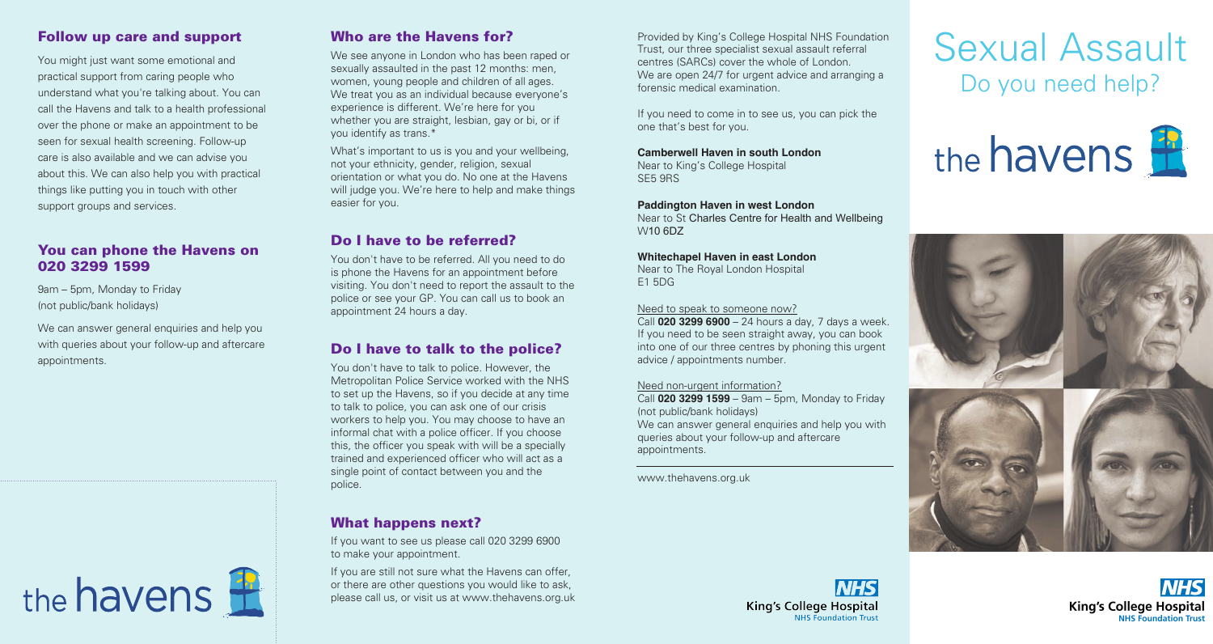## **Follow up care and support**

You might just want some emotional and practical support from caring people who understand what you're talking about. You can call the Havens and talk to a health professional over the phone or make an appointment to be seen for sexual health screening. Follow-up care is also available and we can advise you about this. We can also help you with practical things like putting you in touch with other support groups and services.

## **You can phone the Havens on 020 3299 1599**

9am – 5pm, Monday to Friday (not public/bank holidays)

We can answer general enquiries and help you with queries about your follow-up and aftercare appointments.



## **Who are the Havens for?**

We see anyone in London who has been raped or sexually assaulted in the past 12 months: men, women, young people and children of all ages. We treat you as an individual because everyone's experience is different. We're here for you whether you are straight, lesbian, gay or bi, or if you identify as trans.\*

What's important to us is you and your wellbeing, not your ethnicity, gender, religion, sexual orientation or what you do. No one at the Havens will judge you. We're here to help and make things easier for you.

## **Do I have to be referred?**

You don't have to be referred. All you need to do is phone the Havens for an appointment before visiting. You don't need to report the assault to the police or see your GP. You can call us to book an appointment 24 hours a day.

### **Do I have to talk to the police?**

You don't have to talk to police. However, the Metropolitan Police Service worked with the NHS to set up the Havens, so if you decide at any time to talk to police, you can ask one of our crisis workers to help you. You may choose to have an informal chat with a police officer. If you choose this, the officer you speak with will be a specially trained and experienced officer who will act as a single point of contact between you and the police.

## **What happens next?**

If you want to see us please call 020 3299 6900 to make your appointment.

If you are still not sure what the Havens can offer, or there are other questions you would like to ask, please call us, or visit us at www.thehavens.org.uk

Provided by King's College Hospital NHS Foundation Trust, our three specialist sexual assault referral centres (SARCs) cover the whole of London. We are open 24/7 for urgent advice and arranging a forensic medical examination.

If you need to come in to see us, you can pick the one that's best for you.

**Camberwell Haven in south London** Near to King's College Hospital SE5 9RS

#### **Paddington Haven in west London**

Near to St Charles Centre for Health and Wellbeing W10 6DZ

### **Whitechapel Haven in east London**

Near to The Royal London Hospital E1 5DG

#### Need to speak to someone now?

Call **020 3299 6900** – 24 hours a day, 7 days a week. If you need to be seen straight away, you can book into one of our three centres by phoning this urgent advice / appointments number.

#### Need non-urgent information?

Call **020 3299 1599** – 9am – 5pm, Monday to Friday (not public/bank holidays) We can answer general enquiries and help you with queries about your follow-up and aftercare appointments.

www.thehavens.org.uk

# Sexual Assault Do you need help?